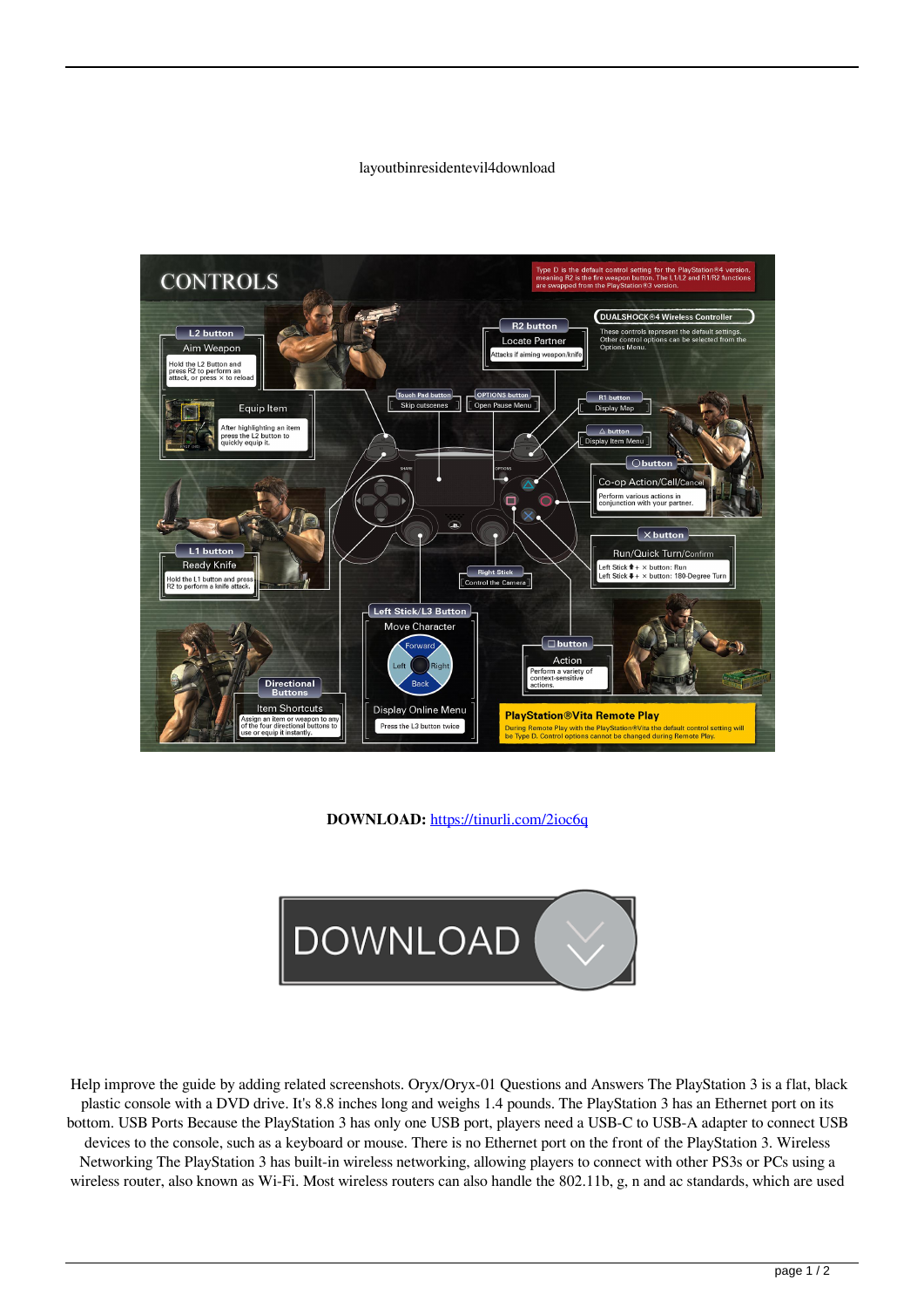## layoutbinresidentevil4download



**DOWNLOAD:** <https://tinurli.com/2ioc6q>



 Help improve the guide by adding related screenshots. Oryx/Oryx-01 Questions and Answers The PlayStation 3 is a flat, black plastic console with a DVD drive. It's 8.8 inches long and weighs 1.4 pounds. The PlayStation 3 has an Ethernet port on its bottom. USB Ports Because the PlayStation 3 has only one USB port, players need a USB-C to USB-A adapter to connect USB devices to the console, such as a keyboard or mouse. There is no Ethernet port on the front of the PlayStation 3. Wireless Networking The PlayStation 3 has built-in wireless networking, allowing players to connect with other PS3s or PCs using a wireless router, also known as Wi-Fi. Most wireless routers can also handle the 802.11b, g, n and ac standards, which are used